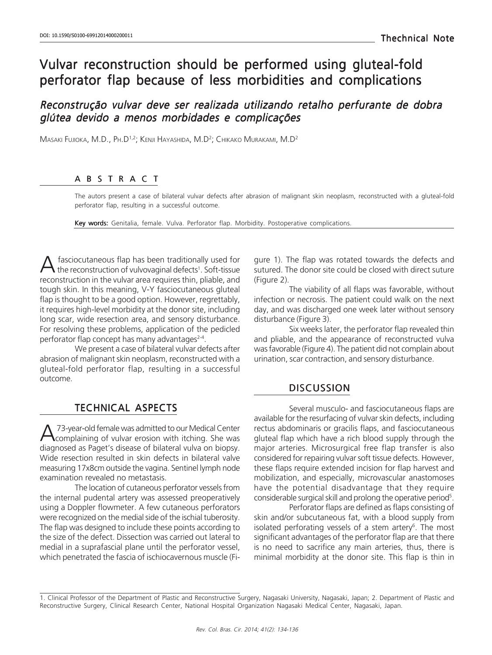# Vulvar reconstruction should be performed using gluteal-fold perforator flap because of less morbidities and complications

# Reconstrução vulvar deve ser realizada utilizando retalho perfurante de dobra glútea devido a menos morbidades e complicações

Masaki Fujioka, M.D., Ph.D<sup>1,2</sup>; Kenji Hayashida, M.D<sup>2</sup>; Снікако Миrакамі, M.D<sup>2</sup>

#### ABSTRACT

The autors present a case of bilateral vulvar defects after abrasion of malignant skin neoplasm, reconstructed with a gluteal-fold perforator flap, resulting in a successful outcome.

Key words: Genitalia, female. Vulva. Perforator flap. Morbidity. Postoperative complications.

A fasciocutaneous flap has been traditionally used for the reconstruction of vulvovaginal defects<sup>1</sup>. Soft-tissue fasciocutaneous flap has been traditionally used for reconstruction in the vulvar area requires thin, pliable, and tough skin. In this meaning, V-Y fasciocutaneous gluteal flap is thought to be a good option. However, regrettably, it requires high-level morbidity at the donor site, including long scar, wide resection area, and sensory disturbance. For resolving these problems, application of the pedicled perforator flap concept has many advantages<sup>2-4</sup>.

We present a case of bilateral vulvar defects after abrasion of malignant skin neoplasm, reconstructed with a gluteal-fold perforator flap, resulting in a successful outcome.

### TECHNICAL ASPECTS

A 73-year-old female was admitted to our Medical Center<br>diagnosed as Paget's disease of bilateral vulva on biopsy. 73-year-old female was admitted to our Medical Center **\** complaining of vulvar erosion with itching. She was Wide resection resulted in skin defects in bilateral valve measuring 17x8cm outside the vagina. Sentinel lymph node examination revealed no metastasis.

The location of cutaneous perforator vessels from the internal pudental artery was assessed preoperatively using a Doppler flowmeter. A few cutaneous perforators were recognized on the medial side of the ischial tuberosity. The flap was designed to include these points according to the size of the defect. Dissection was carried out lateral to medial in a suprafascial plane until the perforator vessel, which penetrated the fascia of ischiocavernous muscle (Figure 1). The flap was rotated towards the defects and sutured. The donor site could be closed with direct suture (Figure 2).

The viability of all flaps was favorable, without infection or necrosis. The patient could walk on the next day, and was discharged one week later without sensory disturbance (Figure 3).

Six weeks later, the perforator flap revealed thin and pliable, and the appearance of reconstructed vulva was favorable (Figure 4). The patient did not complain about urination, scar contraction, and sensory disturbance.

#### **DISCUSSION**

Several musculo- and fasciocutaneous flaps are available for the resurfacing of vulvar skin defects, including rectus abdominaris or gracilis flaps, and fasciocutaneous gluteal flap which have a rich blood supply through the major arteries. Microsurgical free flap transfer is also considered for repairing vulvar soft tissue defects. However, these flaps require extended incision for flap harvest and mobilization, and especially, microvascular anastomoses have the potential disadvantage that they require considerable surgical skill and prolong the operative period<sup>5</sup>.

Perforator flaps are defined as flaps consisting of skin and/or subcutaneous fat, with a blood supply from isolated perforating vessels of a stem artery $6$ . The most significant advantages of the perforator flap are that there is no need to sacrifice any main arteries, thus, there is minimal morbidity at the donor site. This flap is thin in

<sup>1.</sup> Clinical Professor of the Department of Plastic and Reconstructive Surgery, Nagasaki University, Nagasaki, Japan; 2. Department of Plastic and Reconstructive Surgery, Clinical Research Center, National Hospital Organization Nagasaki Medical Center, Nagasaki, Japan.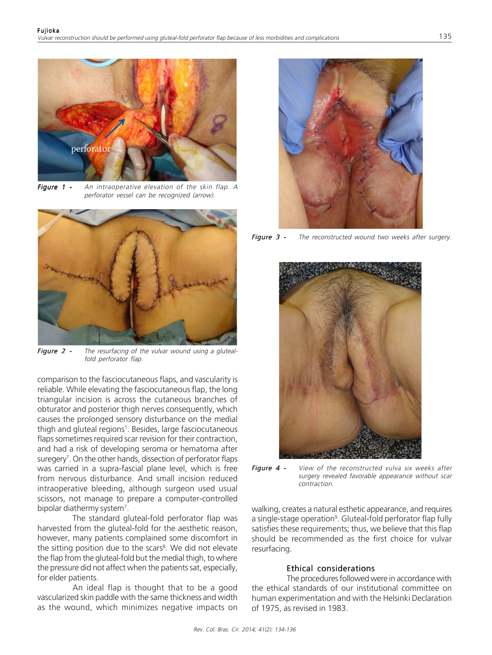

Figure 1 - An intraoperative elevation of the skin flap. A perforator vessel can be recognized (arrow).



Figure 2 - The resurfacing of the vulvar wound using a glutealfold perforator flap.

comparison to the fasciocutaneous flaps, and vascularity is reliable. While elevating the fasciocutaneous flap, the long triangular incision is across the cutaneous branches of obturator and posterior thigh nerves consequently, which causes the prolonged sensory disturbance on the medial thigh and gluteal regions<sup>1</sup>. Besides, large fasciocutaneous flaps sometimes required scar revision for their contraction, and had a risk of developing seroma or hematoma after suregery<sup>7</sup>. On the other hands, dissection of perforator flaps was carried in a supra-fascial plane level, which is free from nervous disturbance. And small incision reduced intraoperative bleeding, although surgeon used usual scissors, not manage to prepare a computer-controlled bipolar diathermy system<sup>7</sup>.

The standard gluteal-fold perforator flap was harvested from the gluteal-fold for the aesthetic reason, however, many patients complained some discomfort in the sitting position due to the scars<sup>8</sup>. We did not elevate the flap from the gluteal-fold but the medial thigh, to where the pressure did not affect when the patients sat, especially, for elder patients.

An ideal flap is thought that to be a good vascularized skin paddle with the same thickness and width as the wound, which minimizes negative impacts on



Figure 3 - The reconstructed wound two weeks after surgery.



Figure 4 - View of the reconstructed vulva six weeks after surgery revealed favorable appearance without scar contraction.

walking, creates a natural esthetic appearance, and requires a single-stage operation<sup>9</sup>. Gluteal-fold perforator flap fully satisfies these requirements; thus, we believe that this flap should be recommended as the first choice for vulvar resurfacing.

#### Ethical considerations

The procedures followed were in accordance with the ethical standards of our institutional committee on human experimentation and with the Helsinki Declaration of 1975, as revised in 1983.